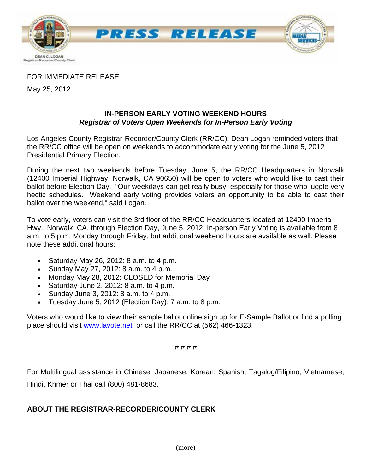

### FOR IMMEDIATE RELEASE

May 25, 2012

### **IN-PERSON EARLY VOTING WEEKEND HOURS**  *Registrar of Voters Open Weekends for In-Person Early Voting*

Los Angeles County Registrar-Recorder/County Clerk (RR/CC), Dean Logan reminded voters that the RR/CC office will be open on weekends to accommodate early voting for the June 5, 2012 Presidential Primary Election.

During the next two weekends before Tuesday, June 5, the RR/CC Headquarters in Norwalk (12400 Imperial Highway, Norwalk, CA 90650) will be open to voters who would like to cast their ballot before Election Day. "Our weekdays can get really busy, especially for those who juggle very hectic schedules. Weekend early voting provides voters an opportunity to be able to cast their ballot over the weekend," said Logan.

To vote early, voters can visit the 3rd floor of the RR/CC Headquarters located at 12400 Imperial Hwy., Norwalk, CA, through Election Day, June 5, 2012. In-person Early Voting is available from 8 a.m. to 5 p.m. Monday through Friday, but additional weekend hours are available as well. Please note these additional hours:

- Saturday May 26, 2012:  $8$  a.m. to  $4$  p.m.
- Sunday May 27, 2012: 8 a.m. to 4 p.m.
- Monday May 28, 2012: CLOSED for Memorial Day
- Saturday June 2, 2012:  $8$  a.m. to  $4$  p.m.
- Sunday June 3, 2012:  $8$  a.m. to  $4$  p.m.
- Tuesday June 5, 2012 (Election Day): 7 a.m. to 8 p.m.

Voters who would like to view their sample ballot online sign up for E-Sample Ballot or find a polling place should visit [www.lavote.net](http://www.lavote.net/) or call the RR/CC at (562) 466-1323.

#### # # # #

For Multilingual assistance in Chinese, Japanese, Korean, Spanish, Tagalog/Filipino, Vietnamese, Hindi, Khmer or Thai call (800) 481-8683.

## **ABOUT THE REGISTRAR-RECORDER/COUNTY CLERK**